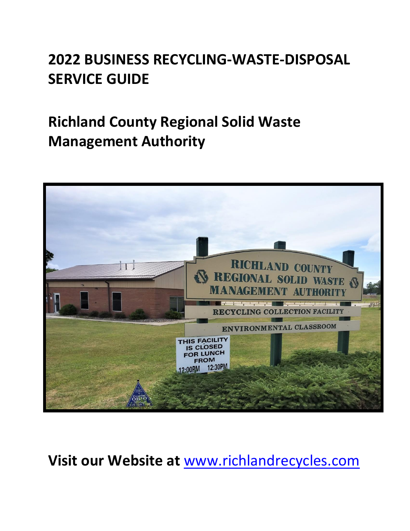# **2022 BUSINESS RECYCLING-WASTE-DISPOSAL SERVICE GUIDE**

# **Richland County Regional Solid Waste Management Authority**



**Visit our Website at** [www.richlandrecycles.com](http://www.richlandrecycles.com/)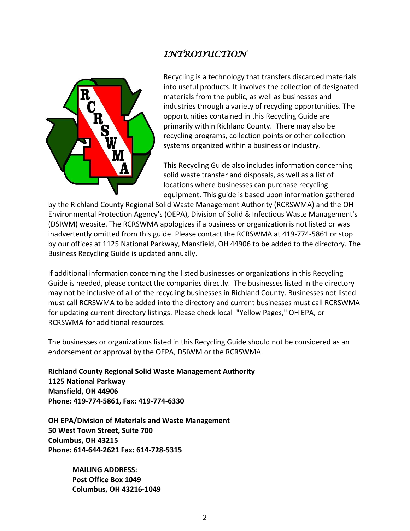# *INTRODUCTION*



Recycling is a technology that transfers discarded materials into useful products. It involves the collection of designated materials from the public, as well as businesses and industries through a variety of recycling opportunities. The opportunities contained in this Recycling Guide are primarily within Richland County. There may also be recycling programs, collection points or other collection systems organized within a business or industry.

This Recycling Guide also includes information concerning solid waste transfer and disposals, as well as a list of locations where businesses can purchase recycling equipment. This guide is based upon information gathered

by the Richland County Regional Solid Waste Management Authority (RCRSWMA) and the OH Environmental Protection Agency's (OEPA), Division of Solid & Infectious Waste Management's (DSIWM) website. The RCRSWMA apologizes if a business or organization is not listed or was inadvertently omitted from this guide. Please contact the RCRSWMA at 419-774-5861 or stop by our offices at 1125 National Parkway, Mansfield, OH 44906 to be added to the directory. The Business Recycling Guide is updated annually.

If additional information concerning the listed businesses or organizations in this Recycling Guide is needed, please contact the companies directly. The businesses listed in the directory may not be inclusive of all of the recycling businesses in Richland County. Businesses not listed must call RCRSWMA to be added into the directory and current businesses must call RCRSWMA for updating current directory listings. Please check local "Yellow Pages," OH EPA, or RCRSWMA for additional resources.

The businesses or organizations listed in this Recycling Guide should not be considered as an endorsement or approval by the OEPA, DSIWM or the RCRSWMA.

**Richland County Regional Solid Waste Management Authority 1125 National Parkway Mansfield, OH 44906 Phone: 419-774-5861, Fax: 419-774-6330**

**OH EPA/Division of Materials and Waste Management 50 West Town Street, Suite 700 Columbus, OH 43215 Phone: 614-644-2621 Fax: 614-728-5315**

> **MAILING ADDRESS: Post Office Box 1049 Columbus, OH 43216-1049**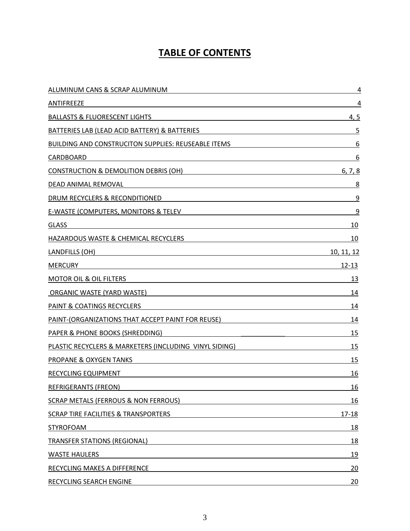# **TABLE OF CONTENTS**

| ALUMINUM CANS & SCRAP ALUMINUM                             | 4                 |
|------------------------------------------------------------|-------------------|
| ANTIFREEZE                                                 | 4                 |
| <b>BALLASTS &amp; FLUORESCENT LIGHTS</b>                   | 4, 5              |
| BATTERIES LAB (LEAD ACID BATTERY) & BATTERIES              | 5                 |
| <b>BUILDING AND CONSTRUCITON SUPPLIES: REUSEABLE ITEMS</b> | 6                 |
| CARDBOARD                                                  | 6                 |
| CONSTRUCTION & DEMOLITION DEBRIS (OH)                      | 6, 7, 8           |
| DEAD ANIMAL REMOVAL                                        | 8                 |
| DRUM RECYCLERS & RECONDITIONED                             | 9                 |
| E-WASTE (COMPUTERS, MONITORS & TELEV                       | 9                 |
| <b>GLASS</b>                                               | 10                |
| HAZARDOUS WASTE & CHEMICAL RECYCLERS                       | 10                |
| LANDFILLS (OH)                                             | <u>10, 11, 12</u> |
| <b>MERCURY</b>                                             | $12 - 13$         |
| <b>MOTOR OIL &amp; OIL FILTERS</b>                         | <u>13</u>         |
| ORGANIC WASTE (YARD WASTE)                                 | 14                |
| <b>PAINT &amp; COATINGS RECYCLERS</b>                      | 14                |
| PAINT-(ORGANIZATIONS THAT ACCEPT PAINT FOR REUSE)          | 14                |
| PAPER & PHONE BOOKS (SHREDDING)                            | 15                |
| PLASTIC RECYCLERS & MARKETERS (INCLUDING VINYL SIDING)     | 15                |
| PROPANE & OXYGEN TANKS                                     | 15                |
| RECYCLING EQUIPMENT                                        | 16                |
| <b>REFRIGERANTS (FREON)</b>                                | <u>16</u>         |
| <b>SCRAP METALS (FERROUS &amp; NON FERROUS)</b>            | <u>16</u>         |
| <b>SCRAP TIRE FACILITIES &amp; TRANSPORTERS</b>            | $17 - 18$         |
| <b>STYROFOAM</b>                                           | 18                |
| <b>TRANSFER STATIONS (REGIONAL)</b>                        | <u>18</u>         |
| <b>WASTE HAULERS</b>                                       | 19                |
| RECYCLING MAKES A DIFFERENCE                               | 20                |
| RECYCLING SEARCH ENGINE                                    | 20                |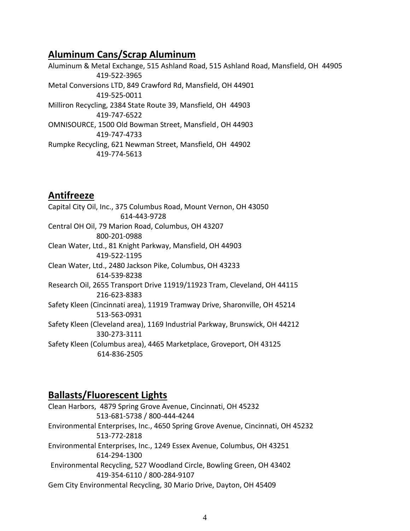# **Aluminum Cans/Scrap Aluminum**

Aluminum & Metal Exchange, 515 Ashland Road, 515 Ashland Road, Mansfield, OH 44905 419-522-3965 Metal Conversions LTD, 849 Crawford Rd, Mansfield, OH 44901 419-525-0011 Milliron Recycling, 2384 State Route 39, Mansfield, OH 44903 419-747-6522 OMNISOURCE, 1500 Old Bowman Street, Mansfield, OH 44903 419-747-4733 Rumpke Recycling, 621 Newman Street, Mansfield, OH 44902 419-774-5613

### **Antifreeze**

Capital City Oil, Inc., 375 Columbus Road, Mount Vernon, OH 43050 614-443-9728 Central OH Oil, 79 Marion Road, Columbus, OH 43207 800-201-0988 Clean Water, Ltd., 81 Knight Parkway, Mansfield, OH 44903 419-522-1195 Clean Water, Ltd., 2480 Jackson Pike, Columbus, OH 43233 614-539-8238 Research Oil, 2655 Transport Drive 11919/11923 Tram, Cleveland, OH 44115 216-623-8383 Safety Kleen (Cincinnati area), 11919 Tramway Drive, Sharonville, OH 45214 513-563-0931 Safety Kleen (Cleveland area), 1169 Industrial Parkway, Brunswick, OH 44212 330-273-3111 Safety Kleen (Columbus area), 4465 Marketplace, Groveport, OH 43125 614-836-2505

### **Ballasts/Fluorescent Lights**

Clean Harbors, 4879 Spring Grove Avenue, Cincinnati, OH 45232 513-681-5738 / 800-444-4244 Environmental Enterprises, Inc., 4650 Spring Grove Avenue, Cincinnati, OH 45232 513-772-2818 Environmental Enterprises, Inc., 1249 Essex Avenue, Columbus, OH 43251 614-294-1300 Environmental Recycling, 527 Woodland Circle, Bowling Green, OH 43402 419-354-6110 / 800-284-9107 Gem City Environmental Recycling, 30 Mario Drive, Dayton, OH 45409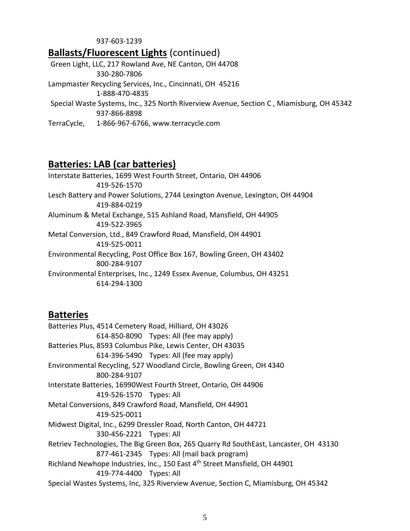#### 937-603-1239

### **Ballasts/Fluorescent Lights** (continued)

Green Light, LLC, 217 Rowland Ave, NE Canton, OH 44708 330-280-7806

Lampmaster Recycling Services, Inc., Cincinnati, OH 45216

1-888-470-4835

Special Waste Systems, Inc., 325 North Riverview Avenue, Section C , Miamisburg, OH 45342 937-866-8898

TerraCycle, 1-866-967-6766[, www.terracycle.com](http://www.terracycle.com/)

# **Batteries: LAB (car batteries)**

Interstate Batteries, 1699 West Fourth Street, Ontario, OH 44906 419-526-1570 Lesch Battery and Power Solutions, 2744 Lexington Avenue, Lexington, OH 44904 419-884-0219 Aluminum & Metal Exchange, 515 Ashland Road, Mansfield, OH 44905 419-522-3965 Metal Conversion, Ltd., 849 Crawford Road, Mansfield, OH 44901 419-525-0011 Environmental Recycling, Post Office Box 167, Bowling Green, OH 43402 800-284-9107 Environmental Enterprises, Inc., 1249 Essex Avenue, Columbus, OH 43251 614-294-1300

### **Batteries**

Batteries Plus, 4514 Cemetery Road, Hilliard, OH 43026 614-850-8090 Types: All (fee may apply) Batteries Plus, 8593 Columbus Pike, Lewis Center, OH 43035 614-396-5490 Types: All (fee may apply) Environmental Recycling, 527 Woodland Circle, Bowling Green, OH 4340 800-284-9107 Interstate Batteries, 16990West Fourth Street, Ontario, OH 44906 419-526-1570 Types: All Metal Conversions, 849 Crawford Road, Mansfield, OH 44901 419-525-0011 Midwest Digital, Inc., 6299 Dressler Road, North Canton, OH 44721 330-456-2221 Types: All Retriev Technologies, The Big Green Box, 265 Quarry Rd SouthEast, Lancaster, OH 43130 877-461-2345 Types: All (mail back program) Richland Newhope Industries, Inc., 150 East 4<sup>th</sup> Street Mansfield, OH 44901 419-774-4400 Types: All Special Wastes Systems, Inc, 325 Riverview Avenue, Section C, Miamisburg, OH 45342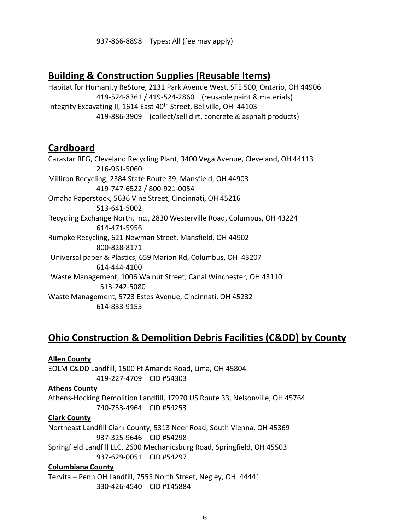937-866-8898 Types: All (fee may apply)

### **Building & Construction Supplies (Reusable Items)**

Habitat for Humanity ReStore, 2131 Park Avenue West, STE 500, Ontario, OH 44906 419-524-8361 / 419-524-2860 (reusable paint & materials) Integrity Excavating II, 1614 East 40<sup>th</sup> Street, Bellville, OH 44103 419-886-3909 (collect/sell dirt, concrete & asphalt products)

### **Cardboard**

Carastar RFG, Cleveland Recycling Plant, 3400 Vega Avenue, Cleveland, OH 44113 216-961-5060 Milliron Recycling, 2384 State Route 39, Mansfield, OH 44903 419-747-6522 / 800-921-0054 Omaha Paperstock, 5636 Vine Street, Cincinnati, OH 45216 513-641-5002 Recycling Exchange North, Inc., 2830 Westerville Road, Columbus, OH 43224 614-471-5956 Rumpke Recycling, 621 Newman Street, Mansfield, OH 44902 800-828-8171 Universal paper & Plastics, 659 Marion Rd, Columbus, OH 43207 614-444-4100 Waste Management, 1006 Walnut Street, Canal Winchester, OH 43110 513-242-5080 Waste Management, 5723 Estes Avenue, Cincinnati, OH 45232 614-833-9155

### **Ohio Construction & Demolition Debris Facilities (C&DD) by County**

### **Allen County** EOLM C&DD Landfill, 1500 Ft Amanda Road, Lima, OH 45804 419-227-4709 CID #54303 **Athens County** Athens-Hocking Demolition Landfill, 17970 US Route 33, Nelsonville, OH 45764 740-753-4964 CID #54253

**Clark County** Northeast Landfill Clark County, 5313 Neer Road, South Vienna, OH 45369 937-325-9646 CID #54298 Springfield Landfill LLC, 2600 Mechanicsburg Road, Springfield, OH 45503 937-629-0051 CID #54297

### **Columbiana County**

Tervita – Penn OH Landfill, 7555 North Street, Negley, OH 44441 330-426-4540 CID #145884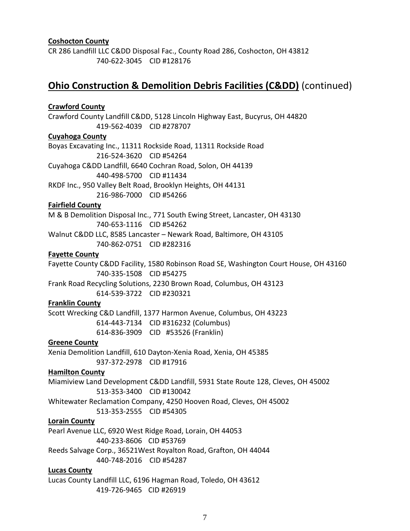### **Coshocton County**

CR 286 Landfill LLC C&DD Disposal Fac., County Road 286, Coshocton, OH 43812 740-622-3045 CID #128176

### **Ohio Construction & Demolition Debris Facilities (C&DD)** (continued)

### **Crawford County**

Crawford County Landfill C&DD, 5128 Lincoln Highway East, Bucyrus, OH 44820 419-562-4039 CID #278707

#### **Cuyahoga County**

Boyas Excavating Inc., 11311 Rockside Road, 11311 Rockside Road 216-524-3620 CID #54264 Cuyahoga C&DD Landfill, 6640 Cochran Road, Solon, OH 44139 440-498-5700 CID #11434 RKDF Inc., 950 Valley Belt Road, Brooklyn Heights, OH 44131

216-986-7000 CID #54266

#### **Fairfield County**

M & B Demolition Disposal Inc., 771 South Ewing Street, Lancaster, OH 43130 740-653-1116 CID #54262 Walnut C&DD LLC, 8585 Lancaster – Newark Road, Baltimore, OH 43105

740-862-0751 CID #282316

#### **Fayette County**

Fayette County C&DD Facility, 1580 Robinson Road SE, Washington Court House, OH 43160 740-335-1508 CID #54275 Frank Road Recycling Solutions, 2230 Brown Road, Columbus, OH 43123

614-539-3722 CID #230321

### **Franklin County**

Scott Wrecking C&D Landfill, 1377 Harmon Avenue, Columbus, OH 43223 614-443-7134 CID #316232 (Columbus) 614-836-3909 CID #53526 (Franklin)

#### **Greene County**

Xenia Demolition Landfill, 610 Dayton-Xenia Road, Xenia, OH 45385 937-372-2978 CID #17916

#### **Hamilton County**

Miamiview Land Development C&DD Landfill, 5931 State Route 128, Cleves, OH 45002 513-353-3400 CID #130042

Whitewater Reclamation Company, 4250 Hooven Road, Cleves, OH 45002

513-353-2555 CID #54305

### **Lorain County**

Pearl Avenue LLC, 6920 West Ridge Road, Lorain, OH 44053 440-233-8606 CID #53769 Reeds Salvage Corp., 36521West Royalton Road, Grafton, OH 44044 440-748-2016 CID #54287

#### **Lucas County**

Lucas County Landfill LLC, 6196 Hagman Road, Toledo, OH 43612 419-726-9465 CID #26919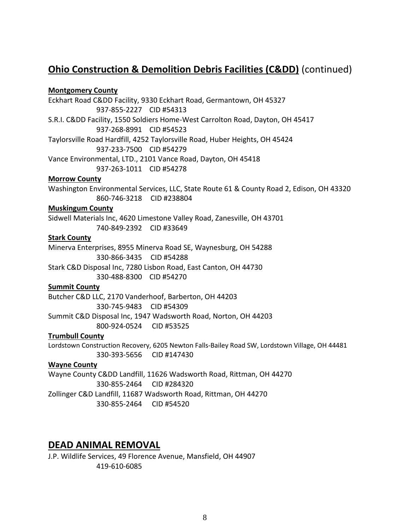# **Ohio Construction & Demolition Debris Facilities (C&DD)** (continued)

### **Montgomery County**

Eckhart Road C&DD Facility, 9330 Eckhart Road, Germantown, OH 45327 937-855-2227 CID #54313 S.R.I. C&DD Facility, 1550 Soldiers Home-West Carrolton Road, Dayton, OH 45417 937-268-8991 CID #54523 Taylorsville Road Hardfill, 4252 Taylorsville Road, Huber Heights, OH 45424 937-233-7500 CID #54279 Vance Environmental, LTD., 2101 Vance Road, Dayton, OH 45418 937-263-1011 CID #54278 **Morrow County** Washington Environmental Services, LLC, State Route 61 & County Road 2, Edison, OH 43320 860-746-3218 CID #238804 **Muskingum County** Sidwell Materials Inc, 4620 Limestone Valley Road, Zanesville, OH 43701 740-849-2392 CID #33649 **Stark County** Minerva Enterprises, 8955 Minerva Road SE, Waynesburg, OH 54288 330-866-3435 CID #54288 Stark C&D Disposal Inc, 7280 Lisbon Road, East Canton, OH 44730 330-488-8300 CID #54270 **Summit County** Butcher C&D LLC, 2170 Vanderhoof, Barberton, OH 44203 330-745-9483 CID #54309 Summit C&D Disposal Inc, 1947 Wadsworth Road, Norton, OH 44203 800-924-0524 CID #53525 **Trumbull County** Lordstown Construction Recovery, 6205 Newton Falls-Bailey Road SW, Lordstown Village, OH 44481 330-393-5656 CID #147430

### **Wayne County**

Wayne County C&DD Landfill, 11626 Wadsworth Road, Rittman, OH 44270 330-855-2464 CID #284320 Zollinger C&D Landfill, 11687 Wadsworth Road, Rittman, OH 44270 330-855-2464 CID #54520

### **DEAD ANIMAL REMOVAL**

J.P. Wildlife Services, 49 Florence Avenue, Mansfield, OH 44907 419-610-6085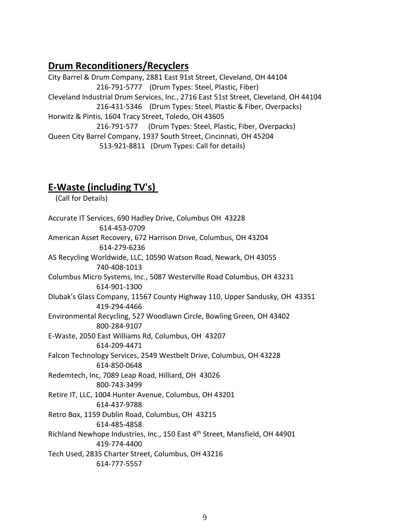### **Drum Reconditioners/Recyclers**

City Barrel & Drum Company, 2881 East 91st Street, Cleveland, OH 44104 216-791-5777 (Drum Types: Steel, Plastic, Fiber) Cleveland Industrial Drum Services, Inc., 2716 East 51st Street, Cleveland, OH 44104 216-431-5346 (Drum Types: Steel, Plastic & Fiber, Overpacks) Horwitz & Pintis, 1604 Tracy Street, Toledo, OH 43605 216-791-577 (Drum Types: Steel, Plastic, Fiber, Overpacks) Queen City Barrel Company, 1937 South Street, Cincinnati, OH 45204 513-921-8811 (Drum Types: Call for details)

**E-Waste (including TV's)** (Call for Details) Accurate IT Services, 690 Hadley Drive, Columbus OH 43228 614-453-0709 American Asset Recovery, 672 Harrison Drive, Columbus, OH 43204 614-279-6236 AS Recycling Worldwide, LLC, 10590 Watson Road, Newark, OH 43055 740-408-1013 Columbus Micro Systems, Inc., 5087 Westerville Road Columbus, OH 43231 614-901-1300 Dlubak's Glass Company, 11567 County Highway 110, Upper Sandusky, OH 43351 419-294-4466 Environmental Recycling, 527 Woodlawn Circle, Bowling Green, OH 43402 800-284-9107 E-Waste, 2050 East Williams Rd, Columbus, OH 43207 614-209-4471 Falcon Technology Services, 2549 Westbelt Drive, Columbus, OH 43228 614-850-0648 Redemtech, Inc, 7089 Leap Road, Hilliard, OH 43026 800-743-3499 Retire IT, LLC, 1004 Hunter Avenue, Columbus, OH 43201 614-437-9788 Retro Box, 1159 Dublin Road, Columbus, OH 43215 614-485-4858 Richland Newhope Industries, Inc., 150 East 4th Street, Mansfield, OH 44901 419-774-4400 Tech Used, 2835 Charter Street, Columbus, OH 43216 614-777-5557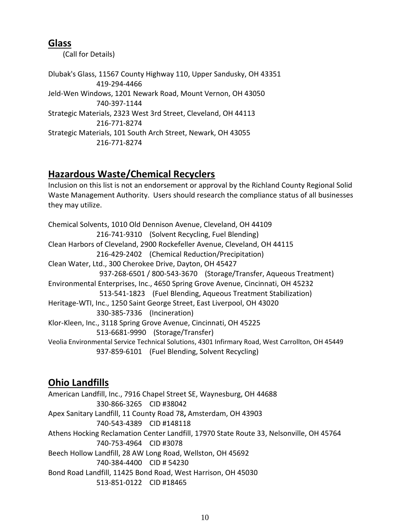### **Glass**

(Call for Details)

Dlubak's Glass, 11567 County Highway 110, Upper Sandusky, OH 43351 419-294-4466 Jeld-Wen Windows, 1201 Newark Road, Mount Vernon, OH 43050 740-397-1144 Strategic Materials, 2323 West 3rd Street, Cleveland, OH 44113 216-771-8274 Strategic Materials, 101 South Arch Street, Newark, OH 43055 216-771-8274

# **Hazardous Waste/Chemical Recyclers**

Inclusion on this list is not an endorsement or approval by the Richland County Regional Solid Waste Management Authority. Users should research the compliance status of all businesses they may utilize.

Chemical Solvents, 1010 Old Dennison Avenue, Cleveland, OH 44109 216-741-9310 (Solvent Recycling, Fuel Blending) Clean Harbors of Cleveland, 2900 Rockefeller Avenue, Cleveland, OH 44115 216-429-2402 (Chemical Reduction/Precipitation) Clean Water, Ltd., 300 Cherokee Drive, Dayton, OH 45427 937-268-6501 / 800-543-3670 (Storage/Transfer, Aqueous Treatment) Environmental Enterprises, Inc., 4650 Spring Grove Avenue, Cincinnati, OH 45232 513-541-1823 (Fuel Blending, Aqueous Treatment Stabilization) Heritage-WTI, Inc., 1250 Saint George Street, East Liverpool, OH 43020 330-385-7336 (Incineration) Klor-Kleen, Inc., 3118 Spring Grove Avenue, Cincinnati, OH 45225 513-6681-9990 (Storage/Transfer) Veolia Environmental Service Technical Solutions, 4301 Infirmary Road, West Carrollton, OH 45449 937-859-6101 (Fuel Blending, Solvent Recycling)

# **Ohio Landfills**

American Landfill, Inc., 7916 Chapel Street SE, Waynesburg, OH 44688 330-866-3265 CID #38042 Apex Sanitary Landfill, 11 County Road 78**,** Amsterdam, OH 43903 740-543-4389 CID #148118 Athens Hocking Reclamation Center Landfill, 17970 State Route 33, Nelsonville, OH 45764 740-753-4964 CID #3078 Beech Hollow Landfill, 28 AW Long Road, Wellston, OH 45692 740-384-4400 CID # 54230 Bond Road Landfill, 11425 Bond Road, West Harrison, OH 45030 513-851-0122 CID #18465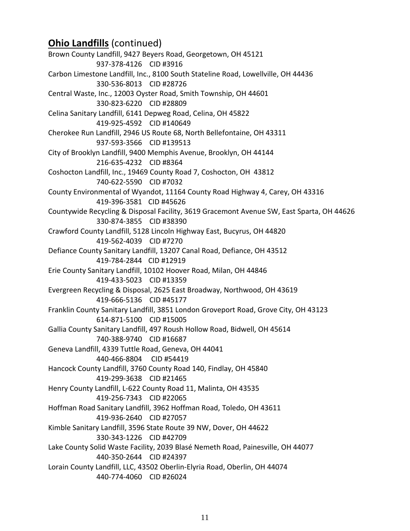# **Ohio Landfills** (continued)

Brown County Landfill, 9427 Beyers Road, Georgetown, OH 45121 937-378-4126 CID #3916 Carbon Limestone Landfill, Inc., 8100 South Stateline Road, Lowellville, OH 44436 330-536-8013 CID #28726 Central Waste, Inc., 12003 Oyster Road, Smith Township, OH 44601 330-823-6220 CID #28809 Celina Sanitary Landfill, 6141 Depweg Road, Celina, OH 45822 419-925-4592 CID #140649 Cherokee Run Landfill, 2946 US Route 68, North Bellefontaine, OH 43311 937-593-3566 CID #139513 City of Brooklyn Landfill, 9400 Memphis Avenue, Brooklyn, OH 44144 216-635-4232 CID #8364 Coshocton Landfill, Inc., 19469 County Road 7, Coshocton, OH 43812 740-622-5590 CID #7032 County Environmental of Wyandot, 11164 County Road Highway 4, Carey, OH 43316 419-396-3581 CID #45626 Countywide Recycling & Disposal Facility, 3619 Gracemont Avenue SW, East Sparta, OH 44626 330-874-3855 CID #38390 Crawford County Landfill, 5128 Lincoln Highway East, Bucyrus, OH 44820 419-562-4039 CID #7270 Defiance County Sanitary Landfill, 13207 Canal Road, Defiance, OH 43512 419-784-2844 CID #12919 Erie County Sanitary Landfill, 10102 Hoover Road, Milan, OH 44846 419-433-5023 CID #13359 Evergreen Recycling & Disposal, 2625 East Broadway, Northwood, OH 43619 419-666-5136 CID #45177 Franklin County Sanitary Landfill, 3851 London Groveport Road, Grove City, OH 43123 614-871-5100 CID #15005 Gallia County Sanitary Landfill, 497 Roush Hollow Road, Bidwell, OH 45614 740-388-9740 CID #16687 Geneva Landfill, 4339 Tuttle Road, Geneva, OH 44041 440-466-8804 CID #54419 Hancock County Landfill, 3760 County Road 140, Findlay, OH 45840 419-299-3638 CID #21465 Henry County Landfill, L-622 County Road 11, Malinta, OH 43535 419-256-7343 CID #22065 Hoffman Road Sanitary Landfill, 3962 Hoffman Road, Toledo, OH 43611 419-936-2640 CID #27057 Kimble Sanitary Landfill, 3596 State Route 39 NW, Dover, OH 44622 330-343-1226 CID #42709 Lake County Solid Waste Facility, 2039 Blasé Nemeth Road, Painesville, OH 44077 440-350-2644 CID #24397 Lorain County Landfill, LLC, 43502 Oberlin-Elyria Road, Oberlin, OH 44074 440-774-4060 CID #26024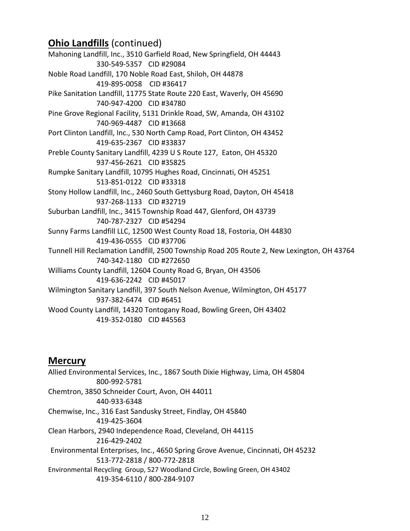# **Ohio Landfills** (continued)

Mahoning Landfill, Inc., 3510 Garfield Road, New Springfield, OH 44443 330-549-5357 CID #29084 Noble Road Landfill, 170 Noble Road East, Shiloh, OH 44878 419-895-0058 CID #36417 Pike Sanitation Landfill, 11775 State Route 220 East, Waverly, OH 45690 740-947-4200 CID #34780 Pine Grove Regional Facility, 5131 Drinkle Road, SW, Amanda, OH 43102 740-969-4487 CID #13668 Port Clinton Landfill, Inc., 530 North Camp Road, Port Clinton, OH 43452 419-635-2367 CID #33837 Preble County Sanitary Landfill, 4239 U S Route 127, Eaton, OH 45320 937-456-2621 CID #35825 Rumpke Sanitary Landfill, 10795 Hughes Road, Cincinnati, OH 45251 513-851-0122 CID #33318 Stony Hollow Landfill, Inc., 2460 South Gettysburg Road, Dayton, OH 45418 937-268-1133 CID #32719 Suburban Landfill, Inc., 3415 Township Road 447, Glenford, OH 43739 740-787-2327 CID #54294 Sunny Farms Landfill LLC, 12500 West County Road 18, Fostoria, OH 44830 419-436-0555 CID #37706 Tunnell Hill Reclamation Landfill, 2500 Township Road 205 Route 2, New Lexington, OH 43764 740-342-1180 CID #272650 Williams County Landfill, 12604 County Road G, Bryan, OH 43506 419-636-2242 CID #45017 Wilmington Sanitary Landfill, 397 South Nelson Avenue, Wilmington, OH 45177 937-382-6474 CID #6451 Wood County Landfill, 14320 Tontogany Road, Bowling Green, OH 43402 419-352-0180 CID #45563

### **Mercury**

Allied Environmental Services, Inc., 1867 South Dixie Highway, Lima, OH 45804 800-992-5781 Chemtron, 3850 Schneider Court, Avon, OH 44011 440-933-6348 Chemwise, Inc., 316 East Sandusky Street, Findlay, OH 45840 419-425-3604 Clean Harbors, 2940 Independence Road, Cleveland, OH 44115 216-429-2402 Environmental Enterprises, Inc., 4650 Spring Grove Avenue, Cincinnati, OH 45232 513-772-2818 / 800-772-2818 Environmental Recycling Group, 527 Woodland Circle, Bowling Green, OH 43402 419-354-6110 / 800-284-9107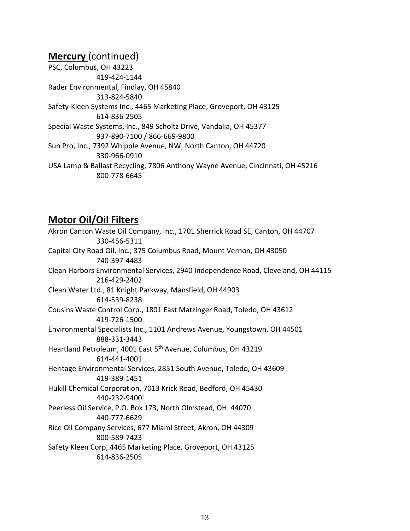### **Mercury** (continued)

PSC, Columbus, OH 43223 419-424-1144 Rader Environmental, Findlay, OH 45840 313-824-5840 Safety-Kleen Systems Inc., 4465 Marketing Place, Groveport, OH 43125 614-836-2505 Special Waste Systems, Inc., 849 Scholtz Drive, Vandalia, OH 45377 937-890-7100 / 866-669-9800 Sun Pro, Inc., 7392 Whipple Avenue, NW, North Canton, OH 44720 330-966-0910 USA Lamp & Ballast Recycling, 7806 Anthony Wayne Avenue, Cincinnati, OH 45216 800-778-6645

### **Motor Oil/Oil Filters**

Akron Canton Waste Oil Company, Inc., 1701 Sherrick Road SE, Canton, OH 44707 330-456-5311 Capital City Road Oil, Inc., 375 Columbus Road, Mount Vernon, OH 43050 740-397-4483 Clean Harbors Environmental Services, 2940 Independence Road, Cleveland, OH 44115 216-429-2402 Clean Water Ltd., 81 Knight Parkway, Mansfield, OH 44903 614-539-8238 Cousins Waste Control Corp., 1801 East Matzinger Road, Toledo, OH 43612 419-726-1500 Environmental Specialists Inc., 1101 Andrews Avenue, Youngstown, OH 44501 888-331-3443 Heartland Petroleum, 4001 East 5<sup>th</sup> Avenue, Columbus, OH 43219 614-441-4001 Heritage Environmental Services, 2851 South Avenue, Toledo, OH 43609 419-389-1451 Hukill Chemical Corporation, 7013 Krick Road, Bedford, OH 45430 440-232-9400 Peerless Oil Service, P.O. Box 173, North Olmstead, OH 44070 440-777-6629 Rice Oil Company Services, 677 Miami Street, Akron, OH 44309 800-589-7423 Safety Kleen Corp, 4465 Marketing Place, Groveport, OH 43125 614-836-2505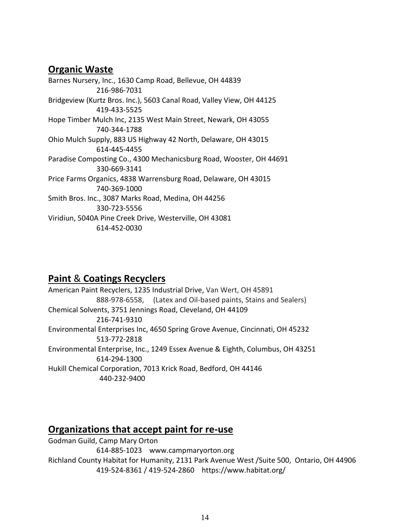# **Organic Waste**

Barnes Nursery, Inc., 1630 Camp Road, Bellevue, OH 44839 216-986-7031 Bridgeview (Kurtz Bros. Inc.), 5603 Canal Road, Valley View, OH 44125 419-433-5525 Hope Timber Mulch Inc, 2135 West Main Street, Newark, OH 43055 740-344-1788 Ohio Mulch Supply, 883 US Highway 42 North, Delaware, OH 43015 614-445-4455 Paradise Composting Co., 4300 Mechanicsburg Road, Wooster, OH 44691 330-669-3141 Price Farms Organics, 4838 Warrensburg Road, Delaware, OH 43015 740-369-1000 Smith Bros. Inc., 3087 Marks Road, Medina, OH 44256 330-723-5556 Viridiun, 5040A Pine Creek Drive, Westerville, OH 43081 614-452-0030

# **Paint** & **Coatings Recyclers**

American Paint Recyclers, 1235 Industrial Drive, Van Wert, OH 45891 888-978-6558, (Latex and Oil-based paints, Stains and Sealers) Chemical Solvents, 3751 Jennings Road, Cleveland, OH 44109 216-741-9310 Environmental Enterprises Inc, 4650 Spring Grove Avenue, Cincinnati, OH 45232 513-772-2818 Environmental Enterprise, Inc., 1249 Essex Avenue & Eighth, Columbus, OH 43251 614-294-1300 Hukill Chemical Corporation, 7013 Krick Road, Bedford, OH 44146 440-232-9400

# **Organizations that accept paint for re-use**

Godman Guild, Camp Mary Orton 614-885-1023 [www.campmaryorton.org](http://www.campmaryorton.org/) Richland County Habitat for Humanity, 2131 Park Avenue West /Suite 500, Ontario, OH 44906 419-524-8361 / 419-524-2860 <https://www.habitat.org/>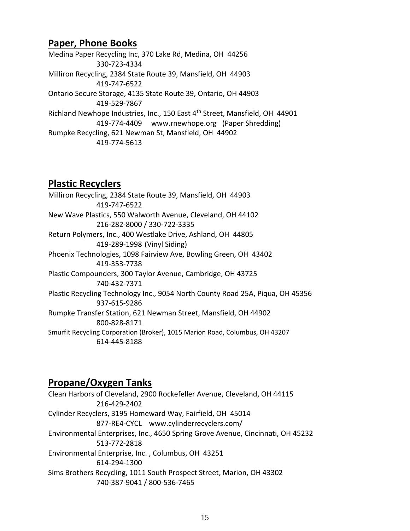### **Paper, Phone Books**

Medina Paper Recycling Inc, 370 Lake Rd, Medina, OH 44256 330-723-4334 Milliron Recycling, 2384 State Route 39, Mansfield, OH 44903 419-747-6522 Ontario Secure Storage, 4135 State Route 39, Ontario, OH 44903 419-529-7867 Richland Newhope Industries, Inc., 150 East 4<sup>th</sup> Street, Mansfield, OH 44901 419-774-4409 [www.rnewhope.org](http://www.rnewhope.org/) (Paper Shredding) Rumpke Recycling, 621 Newman St, Mansfield, OH 44902 419-774-5613

# **Plastic Recyclers**

Milliron Recycling, 2384 State Route 39, Mansfield, OH 44903 419-747-6522 New Wave Plastics, 550 Walworth Avenue, Cleveland, OH 44102 216-282-8000 / 330-722-3335 Return Polymers, Inc., 400 Westlake Drive, Ashland, OH 44805 419-289-1998 (Vinyl Siding) Phoenix Technologies, 1098 Fairview Ave, Bowling Green, OH 43402 419-353-7738 Plastic Compounders, 300 Taylor Avenue, Cambridge, OH 43725 740-432-7371 Plastic Recycling Technology Inc., 9054 North County Road 25A, Piqua, OH 45356 937-615-9286 Rumpke Transfer Station, 621 Newman Street, Mansfield, OH 44902 800-828-8171 Smurfit Recycling Corporation (Broker), 1015 Marion Road, Columbus, OH 43207 614-445-8188

# **Propane/Oxygen Tanks**

Clean Harbors of Cleveland, 2900 Rockefeller Avenue, Cleveland, OH 44115 216-429-2402 Cylinder Recyclers, 3195 Homeward Way, Fairfield, OH 45014 877-RE4-CYCL [www.cylinderrecyclers.com/](http://www.cylinderrecyclers.com/) Environmental Enterprises, Inc., 4650 Spring Grove Avenue, Cincinnati, OH 45232 513-772-2818 Environmental Enterprise, Inc. , Columbus, OH 43251 614-294-1300 Sims Brothers Recycling, 1011 South Prospect Street, Marion, OH 43302 740-387-9041 / 800-536-7465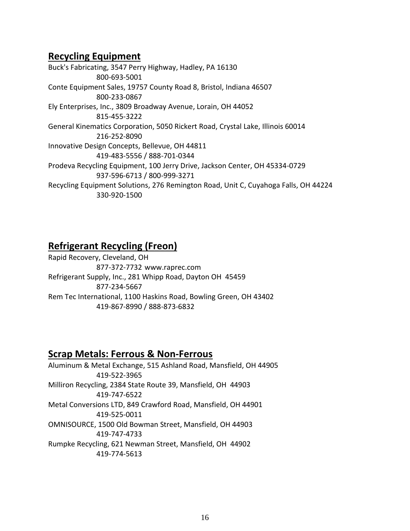# **Recycling Equipment**

Buck's Fabricating, 3547 Perry Highway, Hadley, PA 16130 800-693-5001 Conte Equipment Sales, 19757 County Road 8, Bristol, Indiana 46507 800-233-0867 Ely Enterprises, Inc., 3809 Broadway Avenue, Lorain, OH 44052 815-455-3222 General Kinematics Corporation, 5050 Rickert Road, Crystal Lake, Illinois 60014 216-252-8090 Innovative Design Concepts, Bellevue, OH 44811 419-483-5556 / 888-701-0344 Prodeva Recycling Equipment, 100 Jerry Drive, Jackson Center, OH 45334-0729 937-596-6713 / 800-999-3271 Recycling Equipment Solutions, 276 Remington Road, Unit C, Cuyahoga Falls, OH 44224 330-920-1500

# **Refrigerant Recycling (Freon)**

Rapid Recovery, Cleveland, OH 877-372-7732 www.raprec.com Refrigerant Supply, Inc., 281 Whipp Road, Dayton OH 45459 877-234-5667 Rem Tec International, 1100 Haskins Road, Bowling Green, OH 43402 419-867-8990 / 888-873-6832

### **Scrap Metals: Ferrous & Non-Ferrous**

Aluminum & Metal Exchange, 515 Ashland Road, Mansfield, OH 44905 419-522-3965 Milliron Recycling, 2384 State Route 39, Mansfield, OH 44903 419-747-6522 Metal Conversions LTD, 849 Crawford Road, Mansfield, OH 44901 419-525-0011 OMNISOURCE, 1500 Old Bowman Street, Mansfield, OH 44903 419-747-4733 Rumpke Recycling, 621 Newman Street, Mansfield, OH 44902 419-774-5613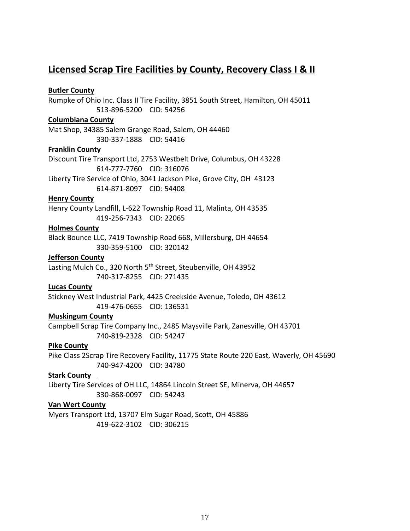## **Licensed Scrap Tire Facilities by County, Recovery Class I & II**

### **Butler County**

Rumpke of Ohio Inc. Class II Tire Facility, 3851 South Street, Hamilton, OH 45011 513-896-5200 CID: 54256

### **Columbiana County**

Mat Shop, 34385 Salem Grange Road, Salem, OH 44460 330-337-1888 CID: 54416

#### **Franklin County**

Discount Tire Transport Ltd, 2753 Westbelt Drive, Columbus, OH 43228 614-777-7760 CID: 316076 Liberty Tire Service of Ohio, 3041 Jackson Pike, Grove City, OH 43123

614-871-8097 CID: 54408

### **Henry County**

Henry County Landfill, L-622 Township Road 11, Malinta, OH 43535 419-256-7343 CID: 22065

#### **Holmes County**

Black Bounce LLC, 7419 Township Road 668, Millersburg, OH 44654 330-359-5100 CID: 320142

#### **Jefferson County**

Lasting Mulch Co., 320 North 5<sup>th</sup> Street, Steubenville, OH 43952 740-317-8255 CID: 271435

### **Lucas County**

Stickney West Industrial Park, 4425 Creekside Avenue, Toledo, OH 43612 419-476-0655 CID: 136531

#### **Muskingum County**

Campbell Scrap Tire Company Inc., 2485 Maysville Park, Zanesville, OH 43701 740-819-2328 CID: 54247

### **Pike County**

Pike Class 2Scrap Tire Recovery Facility, 11775 State Route 220 East, Waverly, OH 45690 740-947-4200 CID: 34780

### **Stark County**

Liberty Tire Services of OH LLC, 14864 Lincoln Street SE, Minerva, OH 44657 330-868-0097 CID: 54243

#### **Van Wert County**

Myers Transport Ltd, 13707 Elm Sugar Road, Scott, OH 45886 419-622-3102 CID: 306215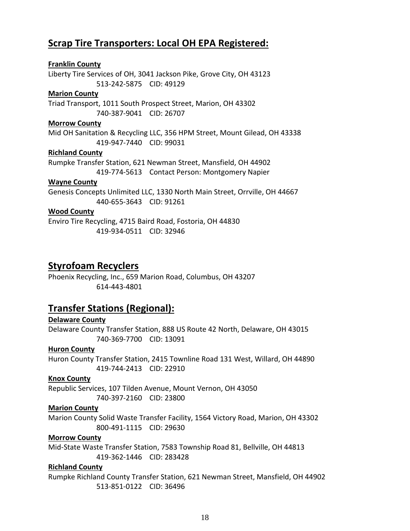# **Scrap Tire Transporters: Local OH EPA Registered:**

### **Franklin County**

Liberty Tire Services of OH, 3041 Jackson Pike, Grove City, OH 43123 513-242-5875 CID: 49129

#### **Marion County**

Triad Transport, 1011 South Prospect Street, Marion, OH 43302 740-387-9041 CID: 26707

#### **Morrow County**

Mid OH Sanitation & Recycling LLC, 356 HPM Street, Mount Gilead, OH 43338 419-947-7440 CID: 99031

### **Richland County**

Rumpke Transfer Station, 621 Newman Street, Mansfield, OH 44902 419-774-5613 Contact Person: Montgomery Napier

#### **Wayne County**

Genesis Concepts Unlimited LLC, 1330 North Main Street, Orrville, OH 44667 440-655-3643 CID: 91261

### **Wood County**

Enviro Tire Recycling, 4715 Baird Road, Fostoria, OH 44830 419-934-0511 CID: 32946

### **Styrofoam Recyclers**

Phoenix Recycling, Inc., 659 Marion Road, Columbus, OH 43207 614-443-4801

### **Transfer Stations (Regional):**

### **Delaware County**

Delaware County Transfer Station, 888 US Route 42 North, Delaware, OH 43015 740-369-7700 CID: 13091

### **Huron County**

Huron County Transfer Station, 2415 Townline Road 131 West, Willard, OH 44890 419-744-2413 CID: 22910

### **Knox County**

Republic Services, 107 Tilden Avenue, Mount Vernon, OH 43050

### 740-397-2160 CID: 23800

### **Marion County**

Marion County Solid Waste Transfer Facility, 1564 Victory Road, Marion, OH 43302 800-491-1115 CID: 29630

#### **Morrow County**

Mid-State Waste Transfer Station, 7583 Township Road 81, Bellville, OH 44813 419-362-1446 CID: 283428

### **Richland County**

Rumpke Richland County Transfer Station, 621 Newman Street, Mansfield, OH 44902 513-851-0122 CID: 36496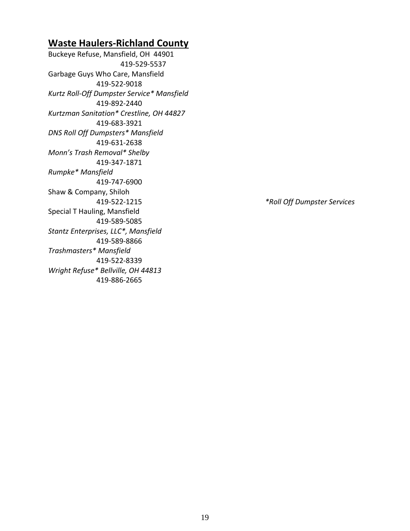# **Waste Haulers-Richland County**

Buckeye Refuse, Mansfield, OH 44901 419-529-5537 Garbage Guys Who Care, Mansfield 419-522-9018 *Kurtz Roll-Off Dumpster Service\* Mansfield* 419-892-2440 *Kurtzman Sanitation\* Crestline, OH 44827* 419-683-3921 *DNS Roll Off Dumpsters\* Mansfield* 419-631-2638 *Monn's Trash Removal\* Shelby* 419-347-1871 *Rumpke\* Mansfield* 419-747-6900 Shaw & Company, Shiloh Special T Hauling, Mansfield 419-589-5085 *Stantz Enterprises, LLC\*, Mansfield* 419-589-8866 *Trashmasters\* Mansfield* 419-522-8339 *Wright Refuse\* Bellville, OH 44813* 419-886-2665

419-522-1215 *\*Roll Off Dumpster Services*